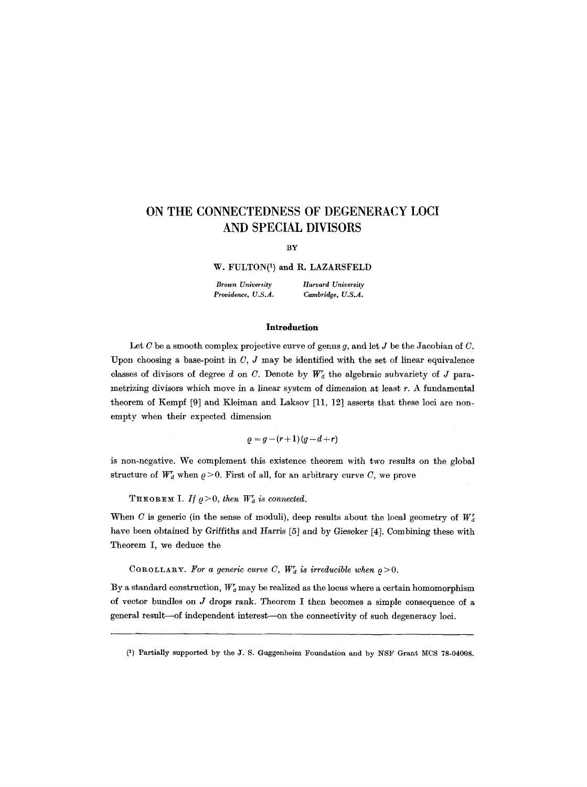# **ON THE CONNECTEDNESS OF DEGENERACY LOCI AND SPECIAL DIVISORS**

BY

W, FULTON(1) and R. LAZARSFELD

**Brown University** *Harvard University*<br>**Providence**, U.S.A. *Cambridge*, U.S.A.  $Cambridge, U.S.A.$ 

#### **Introduction**

Let C be a smooth complex projective curve of genus q, and let J be the Jacobian of C. Upon choosing a base-point in  $C, J$  may be identified with the set of linear equivalence classes of divisors of degree d on C. Denote by  $W'_a$  the algebraic subvariety of J parametrizing divisors which move in a linear system of *dimension* at least r. A fundamental theorem of Kempf [9] and Kleiman and Laksov [11, 12] asserts that these loci are nonempty when their expected dimension

 $q = g - (r + 1)(g - d + r)$ 

is non-negative. We complement this existence theorem with two results on the global structure of  $W_d^r$  when  $\rho > 0$ . First of all, for an arbitrary curve C, we prove

THEOREM I. If  $\rho > 0$ , then  $W_d^r$  is connected.

When C is generic (in the sense of moduli), deep results about the local geometry of  $W_d$ have been obtained by Griffiths and Harris [5] and by Gieseker [4]. Combining these with Theorem I, we deduce the

COROLLARY. For a generic curve C,  $W_d^r$  is irreducible when  $\rho > 0$ .

By a standard construction,  $W_d^r$  may be realized as the locus where a certain homomorphism of vector bundles on J drops rank. Theorem I then becomes a simple consequence of a general result--of independent interest--on the connectivity of such degeneracy loci.

<sup>(1)</sup> Partially supported by the J. S. Guggenheim Foundation and by NSF Gran\$ MCS 78-04008.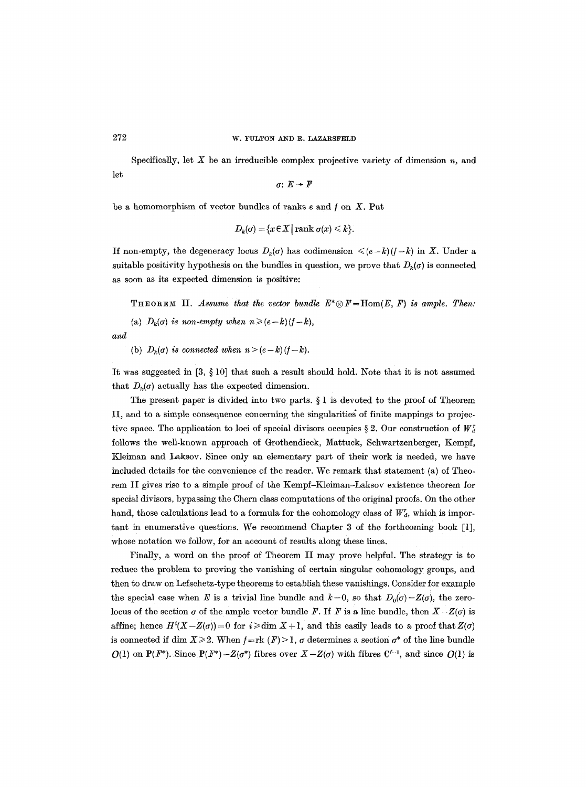let Specifically, let X be an irreducible complex projective variety of dimension *n,* and

$$
\sigma\colon E\to F
$$

be a homomorphism of vector bundles of ranks  $e$  and  $f$  on  $X$ . Put

$$
D_k(\sigma) = \{x \in X \mid \text{rank }\sigma(x) \leq k\}.
$$

If non-empty, the degeneracy locus  $D_k(\sigma)$  has codimension  $\leq (e-k)(f-k)$  in X. Under a suitable positivity hypothesis on the bundles in question, we prove that  $D_k(\sigma)$  is connected as soon as its expected dimension is positive:

THEOREM II. *Assume that the vector bundle*  $E^* \otimes F = \text{Hom}(E, F)$  is ample. Then:

(a)  $D_k(\sigma)$  *is non-empty when*  $n \ge (e-k)(f-k)$ ,

*and* 

(b)  $D_k(\sigma)$  *is connected when*  $n > (e-k)(f-k)$ .

It was suggested in  $[3, \S 10]$  that such a result should hold. Note that it is not assumed that  $D_k(\sigma)$  actually has the expected dimension.

The present paper is divided into two parts.  $\S 1$  is devoted to the proof of Theorem II, and to a simple consequence concerning the singularities of finite mappings to projective space. The application to loci of special divisors occupies § 2. Our construction of  $W_d^r$ follows the well-known approach of Grothendieck, Mattuck, Schwartzenberger, Kempf, Kleiman and Laksov. Since only an elementary part of their work is needed, we have included details for the convenience of the reader. We remark that statement (a) of Theorem II gives rise to a simple proof of the Kempf-Kleiman-Laksov existence theorem for special divisors, bypassing the Chern class computations of the original proofs. On the other hand, those calculations lead to a formula for the cohomology class of  $W_d^r$ , which is important in enumerative questions. We recommend Chapter 3 of the forthcoming book [1], whose notation we follow, for an account of results along these lines.

Finally, a word on the proof of Theorem II may prove helpful. The strategy is to reduce the problem to proving the vanishing of certain singular cohomology groups, and then to draw on Lefschetz-type theorems to establish these vanishings. Consider for example the special case when E is a trivial line bundle and  $k=0$ , so that  $D_0(\sigma) = Z(\sigma)$ , the zerolocus of the section  $\sigma$  of the ample vector bundle F. If F is a line bundle, then  $X-Z(\sigma)$  is affine; hence  $H^{i}(X - Z(\sigma)) = 0$  for  $i \geq d$ im  $X + 1$ , and this easily leads to a proof that  $Z(\sigma)$ is connected if dim  $X\geq 2$ . When  $f=rk$   $(F)$  > 1,  $\sigma$  determines a section  $\sigma^*$  of the line bundle  $O(1)$  on  $P(F^*)$ . Since  $P(F^*)-Z(\sigma^*)$  fibres over  $X-Z(\sigma)$  with fibres  $C^{f-1}$ , and since  $O(1)$  is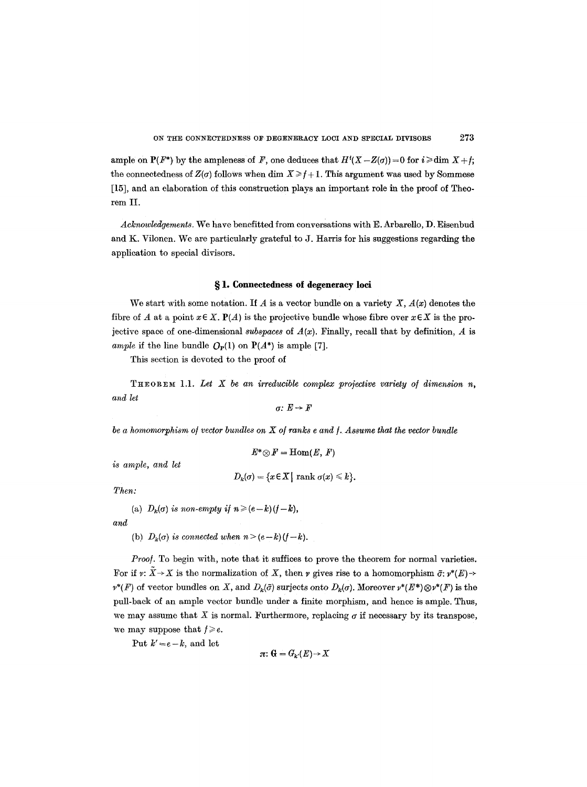ample on  $P(F^*)$  by the ampleness of F, one deduces that  $H^i(X-Z(\sigma))=0$  for  $i \geq d$  im  $X+f$ ; the connectedness of  $Z(\sigma)$  follows when dim  $X \ge f+1$ . This argument was used by Sommese [15], and an elaboration of this construction plays an important role in the proof of Theorem II.

*Acknowledgements.* We have benefitted from conversations with E. Arbarello, D. Eisenbud and K. Vilonen. We are particularly grateful to J. Harris for his suggestions regarding the application to special divisors.

## **w 1. Connectedness of degeneracy loci**

We start with some notation. If A is a vector bundle on a variety  $X, A(x)$  denotes the fibre of A at a point  $x \in X$ .  $P(A)$  is the projective bundle whose fibre over  $x \in X$  is the projective space of one-dimensional *subspaces* of  $A(x)$ . Finally, recall that by definition,  $A$  is *ample* if the line bundle  $O_P(1)$  on  $P(A^*)$  is ample [7].

This section is devoted to the proof of

THeOReM **1.1.**  *Let X be an irreducible complex projective variety o/ dimension n, and let* 

$$
\sigma\colon E\to F
$$

*be a homomorphism of vector bundles on X of ranks e and f. Assume that the vector bundle* 

$$
E^*{\mathord{\,\otimes }\,} F=\mathrm{Hom}(E,\,F)
$$

*is ample, and let* 

$$
D_k(\sigma) = \{x \in X \mid \text{rank }\sigma(x) \leq k\}.
$$

*Then:* 

(a) 
$$
D_k(\sigma)
$$
 is non-empty if  $n \ge (e-k)(f-k)$ ,

*and* 

(b)  $D_k(\sigma)$  *is connected when*  $n > (e-k)(f-k)$ .

*Proof.* To begin with, note that it suffices to prove the theorem for normal varieties. For if  $v: \tilde{X} \to X$  is the normalization of X, then  $v$  gives rise to a homomorphism  $\tilde{\sigma}: v^*(E) \to$  $v^*(F)$  of vector bundles on X, and  $D_k(\tilde{\sigma})$  surjects onto  $D_k(\sigma)$ . Moreover  $v^*(E^*)\otimes v^*(F)$  is the pull-back of an ample vector bundle under a finite morphism, and hence is ample. Thus, we may assume that X is normal. Furthermore, replacing  $\sigma$  if necessary by its transpose, we may suppose that  $f \geqslant e$ .

Put  $k'=e-k$ , and let

$$
\pi\colon \mathbb{G}=G_{k'}(E)\to X
$$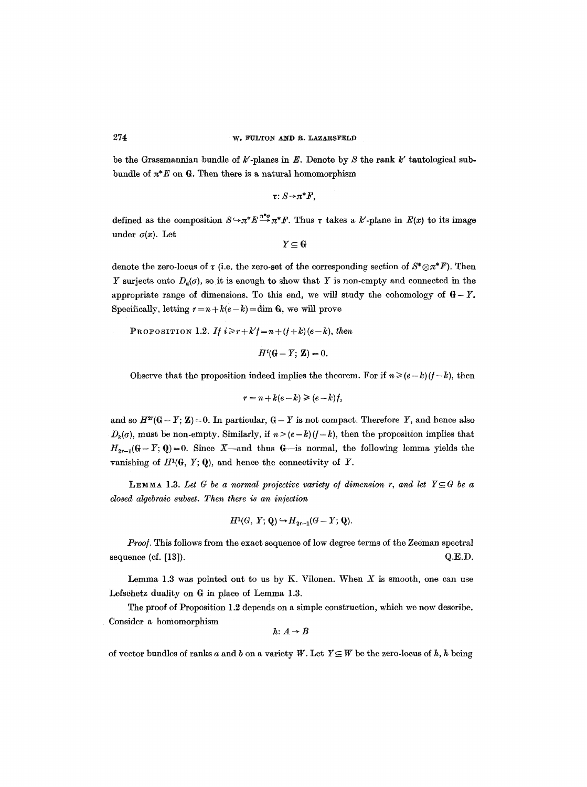be the Grassmannian bundle of  $k'$ -planes in E. Denote by S the rank  $k'$  tautological subbundle of  $\pi^*E$  on G. Then there is a natural homomorphism

$$
\tau\colon S\!\to\!\pi^*F,
$$

defined as the composition  $S \hookrightarrow \pi^*E \stackrel{\pi^*\sigma}{\longrightarrow} \pi^*F$ . Thus  $\tau$  takes a k'-plane in  $E(x)$  to its image under  $\sigma(x)$ . Let

$$
Y\subseteq G
$$

denote the zero-locus of  $\tau$  (i.e. the zero-set of the corresponding section of  $S^*\otimes \pi^*F$ ). Then Y surjects onto  $D_k(\sigma)$ , so it is enough to show that Y is non-empty and connected in the appropriate range of dimensions. To this end, we will study the cohomology of  $G-Y$ . Specifically, letting  $r = n + k(e - k) = \dim G$ , we will prove

PROPOSITION 1.2. *If*  $i \geq r + k'f = n + (f + k)(e - k)$ , then

$$
H^i(\mathbf{G} - Y; \mathbf{Z}) = 0.
$$

Observe that the proposition indeed implies the theorem. For if  $n \ge (e-k)(f-k)$ , then

$$
r = n + k(e - k) \geqslant (e - k)f,
$$

and so  $H^{2r}(\mathbb{G}-Y;\mathbb{Z})=0$ . In particular,  $\mathbb{G}-Y$  is not compact. Therefore Y, and hence also  $D_k(\sigma)$ , must be non-empty. Similarly, if  $n > (e-k)(f-k)$ , then the proposition implies that  $H_{2r-1}(G-Y; Q)=0$ . Since X—and thus G—is normal, the following lemma yields the vanishing of  $H^1(G, Y; Q)$ , and hence the connectivity of Y.

**LEMMA** 1.3. Let G be a normal projective variety of dimension r, and let  $Y \subseteq G$  be a *closed algebraic subset. Then there is an injection* 

$$
H^1(G, Y; \mathbf{Q}) \hookrightarrow H_{2r-1}(G - Y; \mathbf{Q}).
$$

*Proof.* This follows from the exact sequence of low degree terms of the Zeeman spectral sequence (cf.  $[13]$ ).  $Q.E.D.$ 

Lemma 1.3 was pointed out to us by K. Vilonen. When  $X$  is smooth, one can use Lefschetz duality on G in place of Lemma 1.3.

The proof of Proposition 1.2 depends on a simple construction, which we now describe. Consider a homomorphism

$$
h\colon A\to B
$$

of vector bundles of ranks a and b on a variety W. Let  $Y \subseteq W$  be the zero-locus of h, h being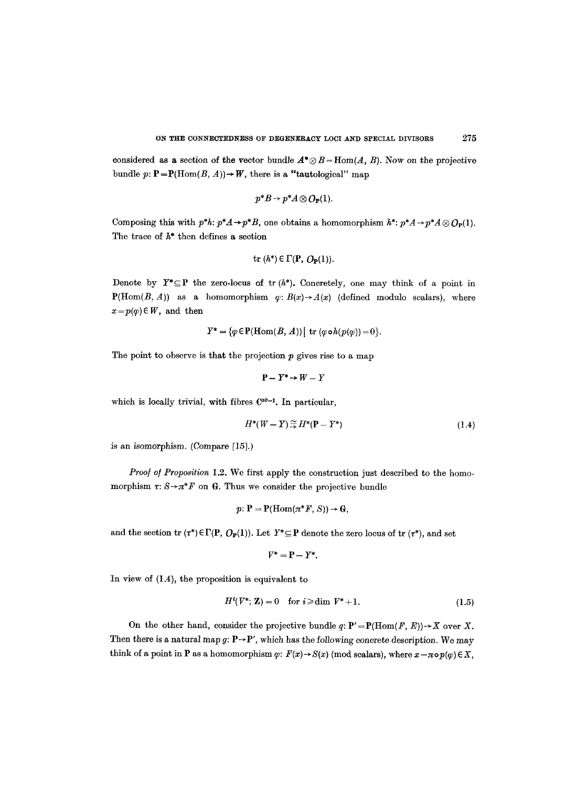considered as a section of the vector bundle  $A^* \otimes B = \text{Hom}(A, B)$ . Now on the projective bundle  $p: \mathbf{P} = \mathbf{P}(\text{Hom}(B, A)) \rightarrow W$ , there is a "tautological" map

$$
p^*B \to p^*A \otimes O_{\mathbf{P}}(1).
$$

Composing this with  $p^*h: p^*A \to p^*B$ , one obtains a homomorphism  $h^*: p^*A \to p^*A \otimes O_{\mathbb{P}}(1)$ . The trace of  $h^*$  then defines a section

tr 
$$
(h^*) \in \Gamma(\mathbf{P}, O_{\mathbf{P}}(1)).
$$

Denote by  $Y^* \subseteq P$  the zero-locus of tr  $(h^*)$ . Concretely, one may think of a point in  $P(Hom(B, A))$  as a homomorphism  $\varphi: B(x) \rightarrow A(x)$  (defined modulo scalars), where  $x = p(\varphi) \in W$ , and then

$$
Y^* = \{ \varphi \in \mathbf{P}(\mathrm{Hom}(B, A)) \mid \mathrm{tr} \; (\varphi \circ h(p(\varphi)) = 0 \}.
$$

The point to observe is that the projection  $p$  gives rise to a map

$$
P - Y^* \to W - Y
$$

which is locally trivial, with fibres  $C^{ab-1}$ . In particular,

$$
H^*(W-Y) \stackrel{\sim}{\rightarrow} H^*(P-Y^*)
$$
\n(1.4)

is an isomorphism. (Compare [15].)

*Proof of Proposition* 1.2. We first apply the construction just described to the homomorphism  $\tau: S \rightarrow \pi^*F$  on G. Thus we consider the projective bundle

$$
p\colon P = P(\mathrm{Hom}(\pi^*F, S)) \to G,
$$

and the section tr  $(\tau^*) \in \Gamma(\mathbf{P}, \mathbf{O}_{\mathbf{P}}(1))$ . Let  $Y^* \subseteq \mathbf{P}$  denote the zero locus of tr  $(\tau^*)$ , and set

$$
V^*=\mathbf{P}-Y^*.
$$

In view of (1.4), the proposition is equivalent to

$$
H^{i}(V^*; \mathbf{Z}) = 0 \quad \text{for } i \geqslant \dim V^* + 1. \tag{1.5}
$$

On the other hand, consider the projective bundle  $q: \mathbf{P}' = \mathbf{P}(\text{Hom}(F, E)) \to X$  over X. Then there is a natural map g:  $\mathbf{P} \rightarrow \mathbf{P}'$ , which has the following concrete description. We may think of a point in P as a homomorphism  $\varphi$ :  $F(x) \rightarrow S(x)$  (mod scalars), where  $x = \pi \circ p(\varphi) \in X$ ,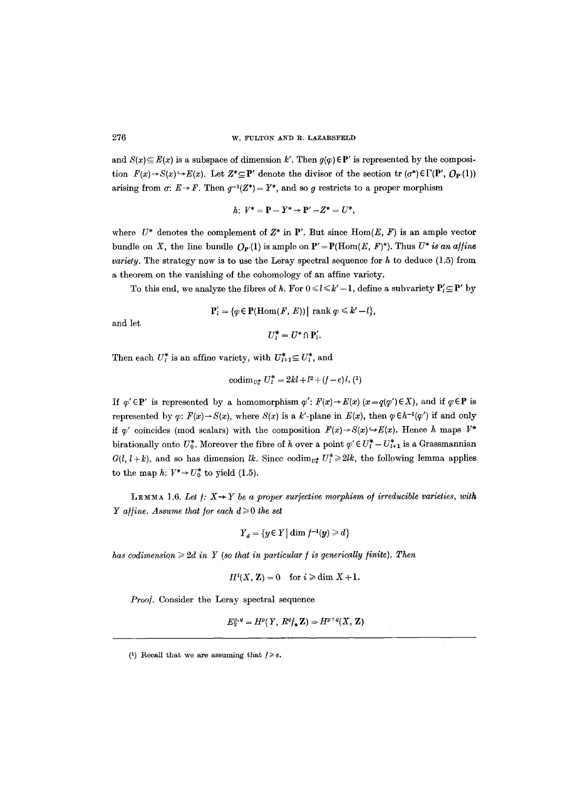and  $S(x) \subseteq E(x)$  is a subspace of dimension k'. Then  $g(p) \in \mathbf{P}'$  is represented by the composition  $F(x) \to S(x) \to E(x)$ . Let  $Z^* \subseteq P'$  denote the divisor of the section tr  $(\sigma^*) \in \Gamma(P', \mathcal{O}_{P'}(1))$ arising from  $\sigma: E \to F$ . Then  $q^{-1}(Z^*) = Y^*$ , and so g restricts to a proper morphism

$$
h\colon\, V^* = {\bf P} - Y^* \to {\bf P}' - Z^* = U^*,
$$

where  $U^*$  denotes the complement of  $Z^*$  in P'. But since  $\text{Hom}(E, F)$  is an ample vector bundle on X, the line bundle  $O_P(1)$  is ample on  $P' = P(\text{Hom}(E, F)^*)$ . Thus  $U^*$  is an affine *variety.* The strategy now is to use the Leray spectral sequence for  $h$  to deduce  $(1.5)$  from a theorem on the vanishing of the cohomology of an affine variety.

To this end, we analyze the fibres of h. For  $0 \leq l \leq k'-1$ , define a subvariety  $P'_l \subseteq P'$  by

$$
\mathbf{P}'_l = \{ \varphi \in \mathbf{P}(\mathrm{Hom}(F, E)) \mid \mathrm{rank} \varphi \leq k'-l \},\
$$

and let

$$
U_l^* = U^* \cap P_l'.
$$

Then each  $U_l^*$  is an affine variety, with  $U_{l+1}^* \subseteq U_l^*$ , and

$$
\mathrm{codim}_{U_0^*} U_l^* = 2kl + l^2 + (f - e)l. (1)
$$

If  $\varphi' \in \mathbf{P}'$  is represented by a homomorphism  $\varphi' : F(x) \to E(x)$  ( $x = q(\varphi') \in X$ ), and if  $\varphi \in \mathbf{P}$  is represented by  $\varphi$ :  $F(x) \rightarrow S(x)$ , where  $S(x)$  is a k'-plane in  $E(x)$ , then  $\varphi \in h^{-1}(\varphi')$  if and only if  $\varphi'$  coincides (mod scalars) with the composition  $F(x) \rightarrow S(x) \rightarrow E(x)$ . Hence h maps  $V^*$ birationally onto  $U_0^*$ . Moreover the fibre of h over a point  $\varphi' \in U_I^* - U_{I+1}^*$  is a Grassmannian  $G(l, l+k)$ , and so has dimension *lk*. Since eodim<sub>ut</sub>,  $U_l^* \geq 2lk$ , the following lemma applies to the map h:  $V^* \rightarrow U_0^*$  to yield (1.5).

LEMMA 1.6. Let  $f: X \rightarrow Y$  be a proper surjective morphism of irreducible varieties, with *Y* affine. Assume that for each  $d \geq 0$  the set

$$
Y_d = \{y \in Y \mid \dim f^{-1}(y) \geq d\}
$$

*has codimension*  $\geq 2d$  *in Y (so that in particular f is generically finite). Then* 

$$
H^{i}(X, Z) = 0 \quad \text{for } i \geq \dim X + 1.
$$

*Proo/.* Consider the Leray spectral sequence

$$
E_2^{p,q} = H^p(Y, R^q \mathbf{Z}) \Rightarrow H^{p+q}(X, \mathbf{Z})
$$

<sup>(1)</sup> Recall that we are assuming that  $j \geq e$ .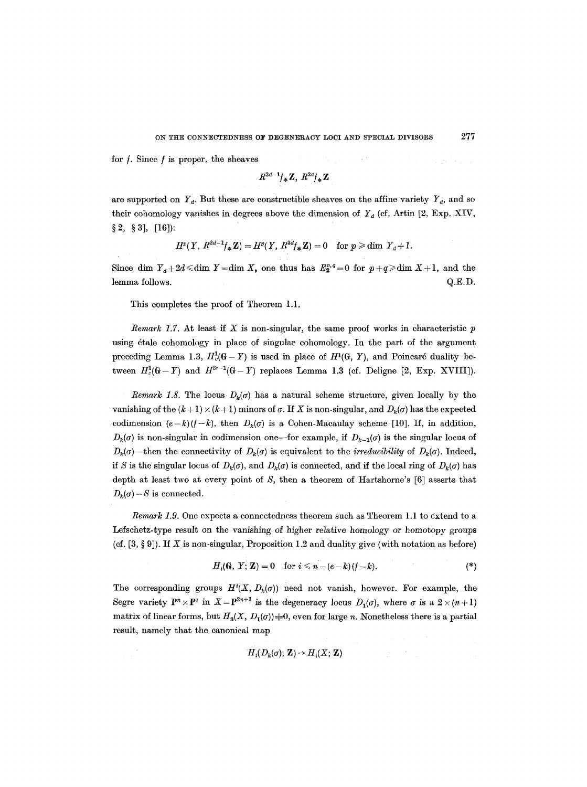计算 医多叶

for  $f$ . Since  $f$  is proper, the sheaves

$$
R^{2d-1}f_*\mathbf{Z}, R^{2d}f_*\mathbf{Z}
$$

are supported on  $Y<sub>d</sub>$ . But these are constructible sheaves on the affine variety  $Y<sub>d</sub>$ , and so their cohomology vanishes in degrees above the dimension of  $Y_d$  (cf. Artin [2, Exp. XIV,  $\S 2, \S 3$ , [16]):

$$
H^p(Y, R^{2d-1}f_*\mathbf{Z}) = H^p(Y, R^{2d}f_*\mathbf{Z}) = 0 \text{ for } p \geq d \text{im } Y_d + 1.
$$

Since dim  $Y_d + 2d \leq d$ im  $Y = \dim X$ , one thus has  $E_2^{p,q} = 0$  for  $p+q \geq d$ im  $X+1$ , and the lemma follows. Q.E.D.

This completes the proof of Theorem 1.1.

*Remark 1.7.* At least if  $X$  is non-singular, the same proof works in characteristic  $p$ using étale cohomology in place of singular cohomology. In the part of the argument preceding Lemma 1.3,  $H_c^1(G-Y)$  is used in place of  $H^1(G, Y)$ , and Poincaré duality between  $H_c^1(\mathbb{G}-Y)$  and  $H^{2r-1}(\mathbb{G}-Y)$  replaces Lemma 1.3 (cf. Deligne [2, Exp. XVIII]).

*Remark 1.8.* The locus  $D_k(\sigma)$  has a natural scheme structure, given locally by the vanishing of the  $(k+1) \times (k+1)$  minors of  $\sigma$ . If X is non-singular, and  $D_k(\sigma)$  has the expected codimension  $(e-k)(f-k)$ , then  $D_k(\sigma)$  is a Cohen-Macaulay scheme [10]. If, in addition,  $D_k(\sigma)$  is non-singular in codimension one--for example, if  $D_{k-1}(\sigma)$  is the singular locus of  $D_k(\sigma)$ —then the connectivity of  $D_k(\sigma)$  is equivalent to the *irreducibility* of  $D_k(\sigma)$ . Indeed, if S is the singular locus of  $D_k(\sigma)$ , and  $D_k(\sigma)$  is connected, and if the local ring of  $D_k(\sigma)$  has depth at least two at every point of  $S$ , then a theorem of Hartshorne's  $[6]$  asserts that  $D_k(\sigma) - S$  is connected.

*Remark 1.9.* One expects a connectedness theorem such as Theorem 1.1 to extend to a Lefschetz-type result on the vanishing of higher relative homology or homotopy groups (cf.  $[3, §9]$ ). If X is non-singular, Proposition 1.2 and duality give (with notation as before)

$$
H_i(\mathbf{G}, Y; \mathbf{Z}) = 0 \quad \text{for } i \leq n - (e - k)(f - k). \tag{*}
$$

The corresponding groups  $H^{i}(X, D_{k}(\sigma))$  need not vanish, however. For example, the Segre variety  $P^n \times P^1$  in  $X = P^{2n+1}$  is the degeneracy locus  $D_1(\sigma)$ , where  $\sigma$  is a  $2 \times (n+1)$ matrix of linear forms, but  $H_3(X, D_1(\sigma))=0$ , even for large n. Nonetheless there is a partial result, namely that the canonical map

$$
H_i(D_k(\sigma); \mathbf{Z}) \to H_i(X; \mathbf{Z})
$$

a geri kalend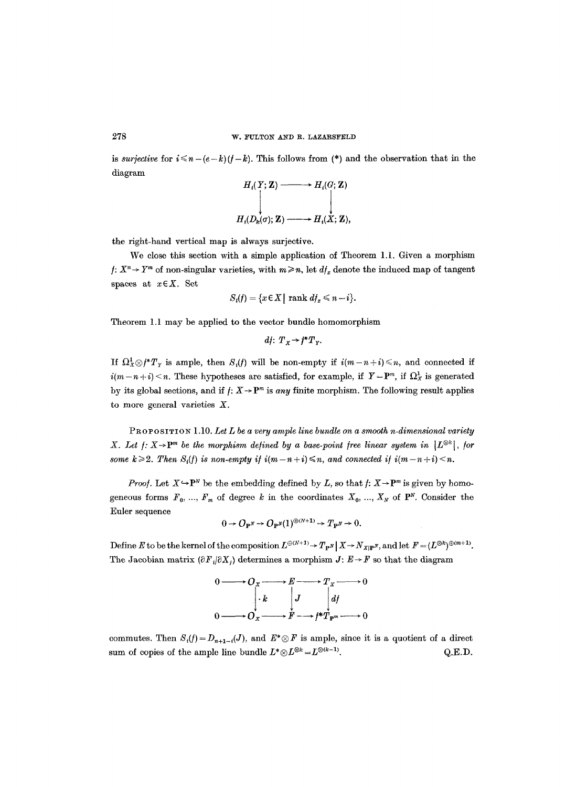is *surjective* for  $i \leq n-(e-k)(f-k)$ . This follows from (\*) and the observation that in the diagram

$$
H_i(Y; \mathbf{Z}) \longrightarrow H_i(G; \mathbf{Z})
$$
  
\n
$$
H_i(D_k(\sigma); \mathbf{Z}) \longrightarrow H_i(\mathbf{X}; \mathbf{Z}),
$$

the right-hand vertical map is always surjective.

We close this section with a simple application of Theorem 1.1. Given a morphism  $f: X^n \to Y^m$  of non-singular varieties, with  $m \ge n$ , let  $df_x$  denote the induced map of tangent spaces at  $x \in X$ . Set

$$
S_i(f) = \{x \in X \mid \text{rank } df_x \leq n - i\}.
$$

Theorem 1.1 may be applied to the vector bundle homomorphism

$$
df: T_X \to f^*T_Y.
$$

If  $\Omega^1_X \otimes f^* T_Y$  is ample, then  $S_i(f)$  will be non-empty if  $i(m-n+i) \leq n$ , and connected if  $i(m-n+i) < n$ . These hypotheses are satisfied, for example, if  $Y = P^m$ , if  $\Omega^1_X$  is generated by its global sections, and if  $f: X \to \mathbb{P}^m$  is *any* finite morphism. The following result applies to more general varieties  $X$ .

PROPOSITION 1.10. *Let L be a very ample line bundle on a smooth n-dimensional variety X. Let*  $f: X \rightarrow P^m$  *be the morphism defined by a base-point free linear system in* [ $L^{\otimes k}$ ], *for some k*  $\geq$  2. Then  $S_i(f)$  is non-empty if  $i(m-n+i) \leq n$ , and connected if  $i(m-n+i) \leq n$ .

*Proof.* Let  $X \rightarrow \mathbf{P}^N$  be the embedding defined by *L*, so that *f*:  $X \rightarrow \mathbf{P}^m$  is given by homogeneous forms  $F_0$ , ...,  $F_m$  of degree k in the coordinates  $X_0$ , ...,  $X_N$  of  $\mathbf{P}^N$ . Consider the Euler sequence

$$
0 \to O_{\mathbf{P}^N} \to O_{\mathbf{P}^N}(1)^{\oplus (N+1)} \to T_{\mathbf{P}^N} \to 0.
$$

Define E to be the kernel of the composition  $L^{\oplus (N+1)} \to T_{\mathbf{P}^N} | X \to N_{X|\mathbf{P}^N}$ , and let  $F = (L^{\otimes k})^{\oplus (m+1)}$ . The Jacobian matrix  $(\partial F_i/\partial X_j)$  determines a morphism  $J: E \to F$  so that the diagram



commutes. Then  $S_i(f) = D_{n+1-i}(J)$ , and  $E^* \otimes F$  is ample, since it is a quotient of a direct sum of copies of the ample line bundle  $L^* \otimes L^{\otimes k} = L^{\otimes (k-1)}$ . Q.E.D.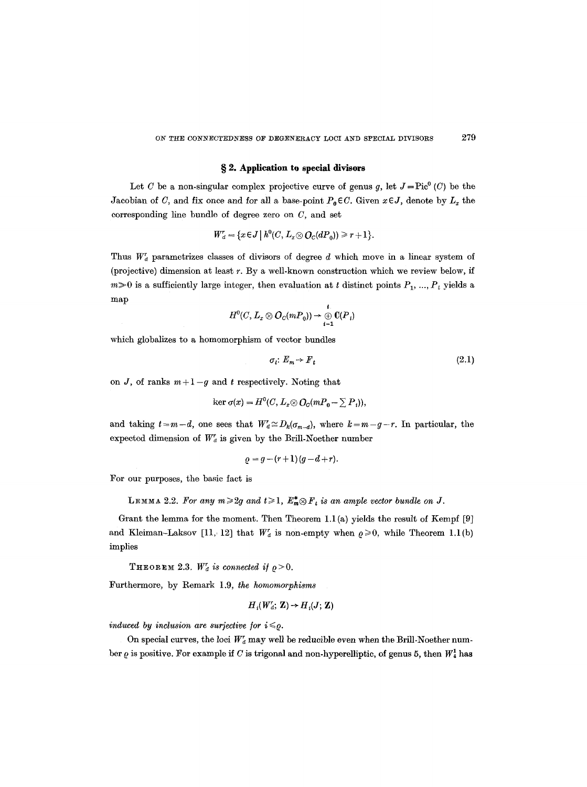### **w 2. Application to special divisors**

Let C be a non-singular complex projective curve of genus g, let  $J=\text{Pic}^0(C)$  be the Jacobian of C, and fix once and for all a base-point  $P_0 \in C$ . Given  $x \in J$ , denote by  $L_x$  the corresponding line bundle of degree zero on C, and set

$$
W_d^r = \{x \in J \mid h^0(C, L_x \otimes \mathcal{O}_C(dP_0)) \geq r+1\}.
$$

Thus  $W_d$  parametrizes classes of divisors of degree d which move in a linear system of (projective) dimension at least  $r$ . By a well-known construction which we review below, if  $m\geq 0$  is a sufficiently large integer, then evaluation at t distinct points  $P_1, ..., P_t$  yields a map

$$
H^0(C, L_x \otimes O_C(mP_0)) \to \bigoplus_{i=1}^t C(P_i)
$$

which globalizes to a homomorphism of vector bundles

$$
\sigma_t: E_m \to F_t \tag{2.1}
$$

on J, of ranks  $m+1-g$  and t respectively. Noting that

$$
\ker \sigma(x) = H^0(C, L_x \otimes O_C(mP_0 - \sum P_i)),
$$

and taking  $t=m-d$ , one sees that  $W_a^r \cong D_k(\sigma_{m-d})$ , where  $k=m-g-r$ . In particular, the expected dimension of  $W_a^r$  is given by the Brill-Noether number

$$
\varrho = g - (r+1)(g-d+r).
$$

For our purposes, the basic fact is

LEMMA 2.2. For any  $m \geq 2g$  and  $t \geq 1$ ,  $E_m^* \otimes F_t$  is an ample vector bundle on J.

Grant the lemma for the moment. Then Theorem 1.1 (a) yields the result of Kempf [9] and Kleiman-Laksov [11, 12] that  $W_a^r$  is non-empty when  $\rho \geq 0$ , while Theorem 1.1(b) implies

THEOREM 2.3.  $W_d^r$  is connected if  $\rho > 0$ .

Furthermore, by Remark 1.9, *the homomorphisms* 

$$
H_i(W_a^r;\mathbf{Z}) \to H_i(J;\mathbf{Z})
$$

*induced by inclusion are surjective for*  $i \leq \rho$ *.* 

On special curves, the loci  $W_d^r$  may well be reducible even when the Brill-Noether number  $\varrho$  is positive. For example if C is trigonal and non-hyperelliptic, of genus 5, then  $W_1^1$  has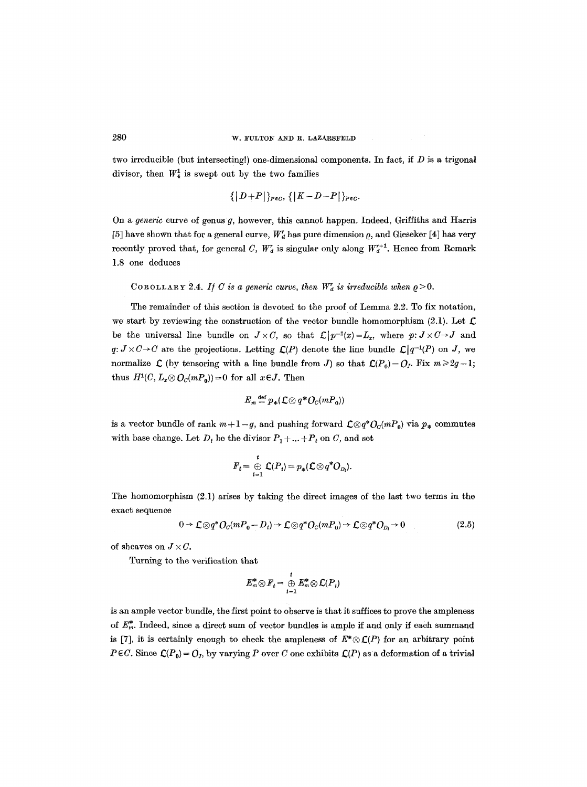two irreducible (but intersecting!) one-dimensional components. In fact, if  $D$  is a trigonal divisor, then  $W_4^1$  is swept out by the two families

$$
\{|D+P|\}_{P\in\mathcal{C}},\{|K-D-P|\}_{P\in\mathcal{C}}.
$$

On a *generic* curve of genus g, however, this cannot happen. Indeed, Griffiths and Harris [5] have shown that for a general curve,  $W_d^r$  has pure dimension  $\rho$ , and Gieseker [4] has very recently proved that, for general C,  $W_d^r$  is singular only along  $W_d^{r+1}$ . Hence from Remark 1.8 one deduces

# COROLLARY 2.4. *If C* is a generic curve, then  $W_d^r$  is irreducible when  $\rho > 0$ .

The remainder of this section is devoted to the proof of Lemma 2.2. To fix notation, we start by reviewing the construction of the vector bundle homomorphism (2.1). Let  $\mathcal{L}$ be the universal line bundle on  $J \times C$ , so that  $\mathcal{L}[p^{-1}(x)=L_x$ , where  $p: J \times C \rightarrow J$  and  $q: J \times C \to C$  are the projections. Letting  $\mathcal{L}(P)$  denote the line bundle  $\mathcal{L}(q^{-1}(P)$  on J, we normalize  $\mathcal L$  (by tensoring with a line bundle from J) so that  $\mathcal L(P_0) = Q_I$ . Fix  $m \geq 2g-1$ ; thus  $H^1(C, L_x \otimes \mathcal{O}_C(mP_0)) = 0$  for all  $x \in J$ . Then

$$
E_m \stackrel{\text{def}}{=} p_*(\mathcal{L} \otimes q^* O_C(mP_0))
$$

is a vector bundle of rank  $m+1-g$ , and pushing forward  $\mathcal{L}\otimes q^*\mathcal{O}_c(mP_0)$  via  $p_*$  commutes with base change. Let  $D_t$  be the divisor  $P_1 + ... + P_t$  on C, and set

$$
F_t = \bigoplus_{i=1}^t C(P_i) = p_*(\mathcal{L} \otimes q^* O_{D_i}).
$$

The homomorphism (2.1) arises by taking the direct images of the last two terms in the exact sequence

$$
0 \to \mathcal{L} \otimes q^* \mathcal{O}_C(mP_0 - D_t) \to \mathcal{L} \otimes q^* \mathcal{O}_C(mP_0) \to \mathcal{L} \otimes q^* \mathcal{O}_{D_t} \to 0
$$
 (2.5)

of sheaves on  $J \times C$ .

Turning to the verification that

$$
E_m^* \otimes F_t = \bigoplus_{i=1}^t E_m^* \otimes \mathcal{L}(P_i)
$$

is an ample vector bundle, the first point to observe is that it suffices to prove the ampleness of  $E_m^*$ . Indeed, since a direct sum of vector bundles is ample if and only if each summand is [7], it is certainly enough to check the ampleness of  $E^* \otimes \mathcal{L}(P)$  for an arbitrary point  $P \in C$ . Since  $\mathcal{L}(P_0) = O_I$ , by varying P over C one exhibits  $\mathcal{L}(P)$  as a deformation of a trivial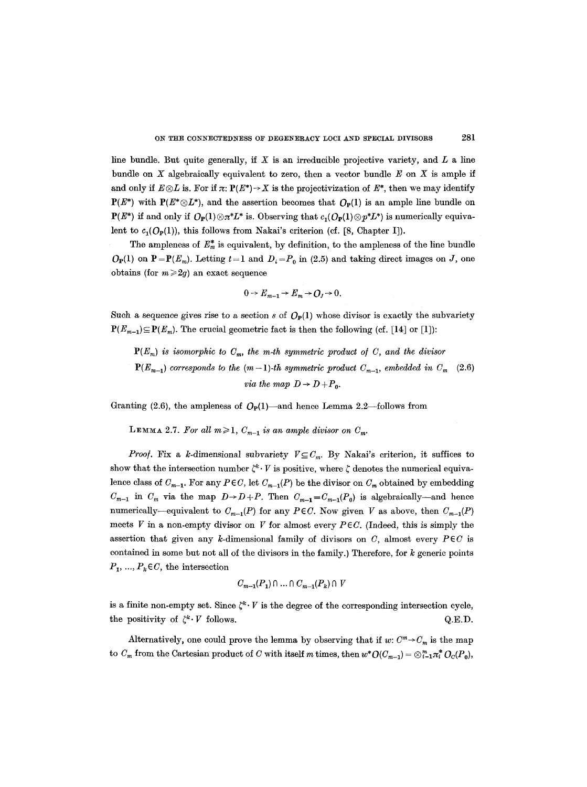line bundle. But quite generally, if  $X$  is an irreducible projective variety, and  $L$  a line bundle on  $X$  algebraically equivalent to zero, then a vector bundle  $E$  on  $X$  is ample if and only if  $E\otimes L$  is. For if  $\pi: P(E^*)\to X$  is the projectivization of  $E^*$ , then we may identify  $P(E^*)$  with  $P(E^* \otimes L^*)$ , and the assertion becomes that  $O_P(1)$  is an ample line bundle on  ${\bf P}(E^*)$  if and only if  $O_{\bf P}(1)\otimes \pi^*L^*$  is. Observing that  $c_1(O_{\bf P}(1)\otimes \pi^*L^*)$  is numerically equivalent to  $c_1(O_P(1))$ , this follows from Nakai's criterion (cf. [8, Chapter I]).

The ampleness of  $E_m^*$  is equivalent, by definition, to the ampleness of the line bundle  $O_P(1)$  on  $P=P(E_m)$ . Letting  $t=1$  and  $D_i=P_0$  in (2.5) and taking direct images on J, one obtains (for  $m \geq 2g$ ) an exact sequence

$$
0 \to E_{m-1} \to E_m \to O_J \to 0.
$$

Such a sequence gives rise to a section s of  $O_P(1)$  whose divisor is exactly the subvariety  $P(E_{m-1})\subseteq P(E_m)$ . The crucial geometric fact is then the following (cf. [14] or [1]):

 $P(E_m)$  *is isomorphic to*  $C_m$ *, the m-th symmetric product of C, and the divisor*  $P(E_{m-1})$  *corresponds to the (m-1)-th symmetric product*  $C_{m-1}$ *, embedded in*  $C_m$ *via the map*  $D \rightarrow D + P_0$ . (2.6)

Granting (2.6), the ampleness of  $O_P(1)$ —and hence Lemma 2.2—follows from

**LEMMA** 2.7. For all  $m \geq 1$ ,  $C_{m-1}$  is an ample divisor on  $C_m$ .

*Proof.* Fix a k-dimensional subvariety  $V \subseteq C_m$ . By Nakai's criterion, it suffices to show that the intersection number  $\zeta^k \cdot V$  is positive, where  $\zeta$  denotes the numerical equivalence class of  $C_{m-1}$ . For any  $P \in C$ , let  $C_{m-1}(P)$  be the divisor on  $C_m$  obtained by embedding  $C_{m-1}$  in  $C_m$  via the map  $D \rightarrow D+P$ . Then  $C_{m-1}=C_{m-1}(P_0)$  is algebraically--and hence numerically--equivalent to  $C_{m-1}(P)$  for any  $P \in C$ . Now given V as above, then  $C_{m-1}(P)$ meets  $V$  in a non-empty divisor on  $V$  for almost every  $P \in C$ . (Indeed, this is simply the assertion that given any k-dimensional family of divisors on  $C$ , almost every  $P \in C$  is contained in some but not all of the divisors in the family.) Therefore, for  $k$  generic points  $P_1, ..., P_k \in C$ , the intersection

$$
C_{m-1}(P_1) \cap \ldots \cap C_{m-1}(P_k) \cap V
$$

is a finite non-empty set. Since  $\zeta^k \cdot V$  is the degree of the corresponding intersection cycle, the positivity of  $\zeta^k \cdot V$  follows.  $Q.E.D.$ 

Alternatively, one could prove the lemma by observing that if  $w: C^m \to C_m$  is the map to  $C_m$  from the Cartesian product of C with itself m times, then  $w^*O(C_{m-1}) = \bigotimes_{i=1}^m \pi_i^* O_C(P_o)$ ,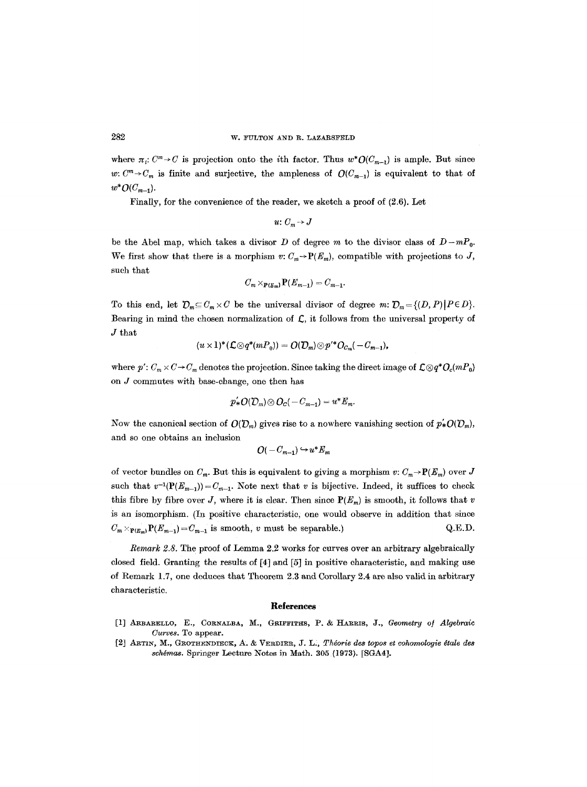where  $\pi_i$ :  $C^m \rightarrow C$  is projection onto the *i*th factor. Thus  $w^*O(C_{m-1})$  is ample. But since *w:*  $C^m \rightarrow C_m$  is finite and surjective, the ampleness of  $O(C_{m-1})$  is equivalent to that of  $w^*O(C_{m-1}).$ 

Finally, for the convenience of the reader, we sketch a proof of (2.6). Let

$$
u\colon C_m\to J
$$

be the Abel map, which takes a divisor D of degree m to the divisor class of  $D-mP_0$ . We first show that there is a morphism  $v: C_m \to \mathbf{P}(E_m)$ , compatible with projections to J, such that

$$
C_m\times_{\mathbf{P}(E_m)}\mathbf{P}(E_{m-1})=C_{m-1}.
$$

To this end, let  $\mathcal{D}_m \subseteq C_m \times C$  be the universal divisor of degree  $m: \mathcal{D}_m = \{(D, P) | P \in D\}.$ Bearing in mind the chosen normalization of  $C$ , it follows from the universal property of J that

$$
(u\times 1)^*(\mathcal L\otimes q^*(mP_0))=O(\mathcal D_m)\otimes p'^*O_{C_m}(-C_{m-1}),
$$

where  $p'$ :  $C_m \times C \to C_m$  denotes the projection. Since taking the direct image of  $\mathcal{L} \otimes q^* O_c(mP_0)$ on  $J$  commutes with base-change, one then has

$$
p'_*O(\mathcal{D}_m)\otimes O_C(-C_{m-1})=u^*E_m.
$$

Now the canonical section of  $O(D_m)$  gives rise to a nowhere vanishing section of  $p^*O(D_m)$ , and so one obtains an inclusion

$$
O(-C_{m-1}) \hookrightarrow u^* E_m
$$

of vector bundles on  $C_m$ . But this is equivalent to giving a morphism  $v: C_m \to \mathbf{P}(E_m)$  over J such that  $v^{-1}(\mathbf{P}(E_{m-1}))=C_{m-1}$ . Note next that v is bijective. Indeed, it suffices to check this fibre by fibre over *J*, where it is clear. Then since  $P(E_m)$  is smooth, it follows that v is an isomorphism. (In positive characteristic, one would observe in addition that since  $C_m \times_{\mathbf{P}(E_m)} \mathbf{P}(E_{m-1}) = C_{m-1}$  is smooth, v must be separable.) Q.E.D.

*Remark 2.8.* The proof of Lemma 2.2 works for curves over an arbitrary algebraically closed field. Granting the results of [4] and [5] in positive characteristic, and making use of Remark 1.7, one deduces that Theorem 2.3 and Corollary 2.4 are also valid in arbitrary characteristic.

#### **References**

- [1] ARBARELLO, E., CORNALBA, M., GRIFFITHS, P. & HARRIS, J., *Geometry of Algebraic Curves.* To appear.
- [2] ARTIN, M., GlgOT~NDIEOK, A. & VERDIER, J. L2, *Thdorie des topos et eohomoloyie 4tale des svhdmas.* Springer Lecture Notes in Math. 305 (1973). [SGA4].